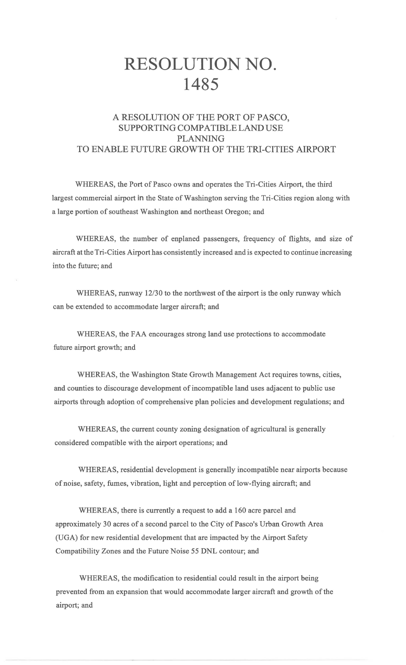## RESOLUTION NO. **1485**

## A RESOLUTION OF THE PORT OF PASCO, SUPPORTING COMPATIBLE LAND USE PLANNING TO ENABLE FUTURE GROWTH OF THE TRI-CITIES AIRPORT

WHEREAS, the Port of Pasco owns and operates the Tri-Cities Airport, the third largest commercial airport in the State of Washington serving the Tri-Cities region along with a large portion of southeast Washington and northeast Oregon; and

WHEREAS, the number of enplaned passengers, frequency of flights, and size of aircraft at the Tri-Cities Airport has consistently increased and is expected to continue increasing into the future; and

WHEREAS, runway 12/30 to the northwest of the airport is the only runway which can be extended to accommodate larger aircraft; and

WHEREAS, the FAA encourages strong land use protections to accommodate future airport growth; and

WHEREAS, the Washington State Growth Management Act requires towns, cities, and counties to discourage development of incompatible land uses adjacent to public use airports through adoption of comprehensive plan policies and development regulations; and

WHEREAS, the current county zoning designation of agricultural is generally considered compatible with the airport operations; and

WHEREAS, residential development is generally incompatible near airports because of noise, safety, fumes, vibration, light and perception of low-flying aircraft; and

WHEREAS, there is currently a request to add a 160 acre parcel and approximately 30 acres of a second parcel to the City of Pasco's Urban Growth Area (UGA) for new residential development that are impacted by the Airport Safety Compatibility Zones and the Future Noise 55 DNL contour; and

WHEREAS, the modification to residential could result in the airport being prevented from an expansion that would accommodate larger aircraft and growth of the airport; and